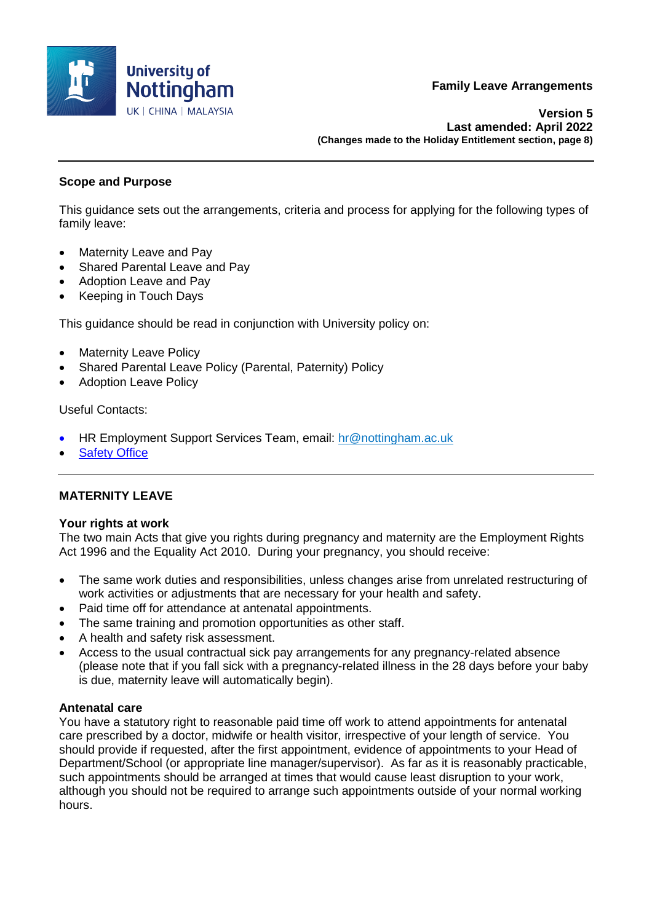

**Version 5 Last amended: April 2022 (Changes made to the Holiday Entitlement section, page 8)**

# **Scope and Purpose**

This guidance sets out the arrangements, criteria and process for applying for the following types of family leave:

- Maternity Leave and Pay
- Shared Parental Leave and Pay
- Adoption Leave and Pay
- Keeping in Touch Days

This guidance should be read in conjunction with University policy on:

- Maternity Leave Policy
- Shared Parental Leave Policy (Parental, Paternity) Policy
- Adoption Leave Policy

### Useful Contacts:

- HR Employment Support Services Team, email: [hr@nottingham.ac.uk](mailto:hr@nottingham.ac.uk)
- [Safety Office](http://www.nottingham.ac.uk/safety/contacts.htm)

# **MATERNITY LEAVE**

#### **Your rights at work**

The two main Acts that give you rights during pregnancy and maternity are the Employment Rights Act 1996 and the Equality Act 2010. During your pregnancy, you should receive:

- The same work duties and responsibilities, unless changes arise from unrelated restructuring of work activities or adjustments that are necessary for your health and safety.
- Paid time off for attendance at antenatal appointments.
- The same training and promotion opportunities as other staff.
- A health and safety risk assessment.
- Access to the usual contractual sick pay arrangements for any pregnancy-related absence (please note that if you fall sick with a pregnancy-related illness in the 28 days before your baby is due, maternity leave will automatically begin).

# **Antenatal care**

You have a statutory right to reasonable paid time off work to attend appointments for antenatal care prescribed by a doctor, midwife or health visitor, irrespective of your length of service. You should provide if requested, after the first appointment, evidence of appointments to your Head of Department/School (or appropriate line manager/supervisor). As far as it is reasonably practicable, such appointments should be arranged at times that would cause least disruption to your work, although you should not be required to arrange such appointments outside of your normal working hours.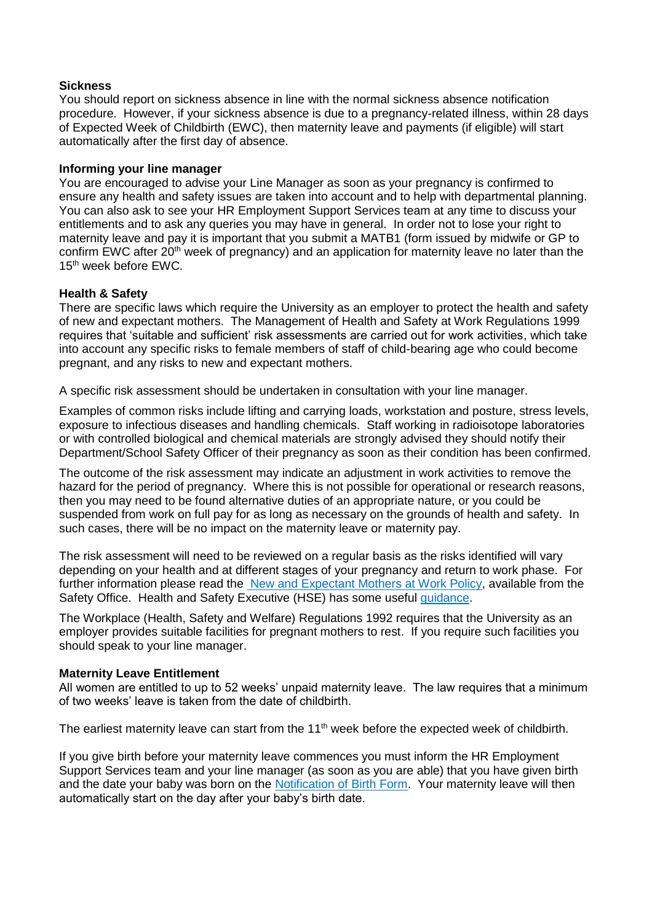### **Sickness**

You should report on sickness absence in line with the normal sickness absence notification procedure. However, if your sickness absence is due to a pregnancy-related illness, within 28 days of Expected Week of Childbirth (EWC), then maternity leave and payments (if eligible) will start automatically after the first day of absence.

#### **Informing your line manager**

You are encouraged to advise your Line Manager as soon as your pregnancy is confirmed to ensure any health and safety issues are taken into account and to help with departmental planning. You can also ask to see your HR Employment Support Services team at any time to discuss your entitlements and to ask any queries you may have in general. In order not to lose your right to maternity leave and pay it is important that you submit a MATB1 (form issued by midwife or GP to confirm EWC after  $20<sup>th</sup>$  week of pregnancy) and an application for maternity leave no later than the 15<sup>th</sup> week before EWC.

### **Health & Safety**

There are specific laws which require the University as an employer to protect the health and safety of new and expectant mothers. The Management of Health and Safety at Work Regulations 1999 requires that 'suitable and sufficient' risk assessments are carried out for work activities, which take into account any specific risks to female members of staff of child-bearing age who could become pregnant, and any risks to new and expectant mothers.

A specific risk assessment should be undertaken in consultation with your line manager.

Examples of common risks include lifting and carrying loads, workstation and posture, stress levels, exposure to infectious diseases and handling chemicals. Staff working in radioisotope laboratories or with controlled biological and chemical materials are strongly advised they should notify their Department/School Safety Officer of their pregnancy as soon as their condition has been confirmed.

The outcome of the risk assessment may indicate an adjustment in work activities to remove the hazard for the period of pregnancy. Where this is not possible for operational or research reasons, then you may need to be found alternative duties of an appropriate nature, or you could be suspended from work on full pay for as long as necessary on the grounds of health and safety. In such cases, there will be no impact on the maternity leave or maternity pay.

The risk assessment will need to be reviewed on a regular basis as the risks identified will vary depending on your health and at different stages of your pregnancy and return to work phase. For further information please read the [New and Expectant Mothers at Work Policy,](https://www.nottingham.ac.uk/safety/publications/circulars/pregnant.html) available from the Safety Office. Health and Safety Executive (HSE) has some useful [guidance.](http://www.hse.gov.uk/mothers/faqs.htm)

The Workplace (Health, Safety and Welfare) Regulations 1992 requires that the University as an employer provides suitable facilities for pregnant mothers to rest. If you require such facilities you should speak to your line manager.

#### **Maternity Leave Entitlement**

All women are entitled to up to 52 weeks' unpaid maternity leave. The law requires that a minimum of two weeks' leave is taken from the date of childbirth.

The earliest maternity leave can start from the 11<sup>th</sup> week before the expected week of childbirth.

If you give birth before your maternity leave commences you must inform the HR Employment Support Services team and your line manager (as soon as you are able) that you have given birth and the date your baby was born on the [Notification of Birth Form.](http://www.nottingham.ac.uk/hr/guidesandsupport/maternityparentalsupportandadoption/applicationforms.aspx) Your maternity leave will then automatically start on the day after your baby's birth date.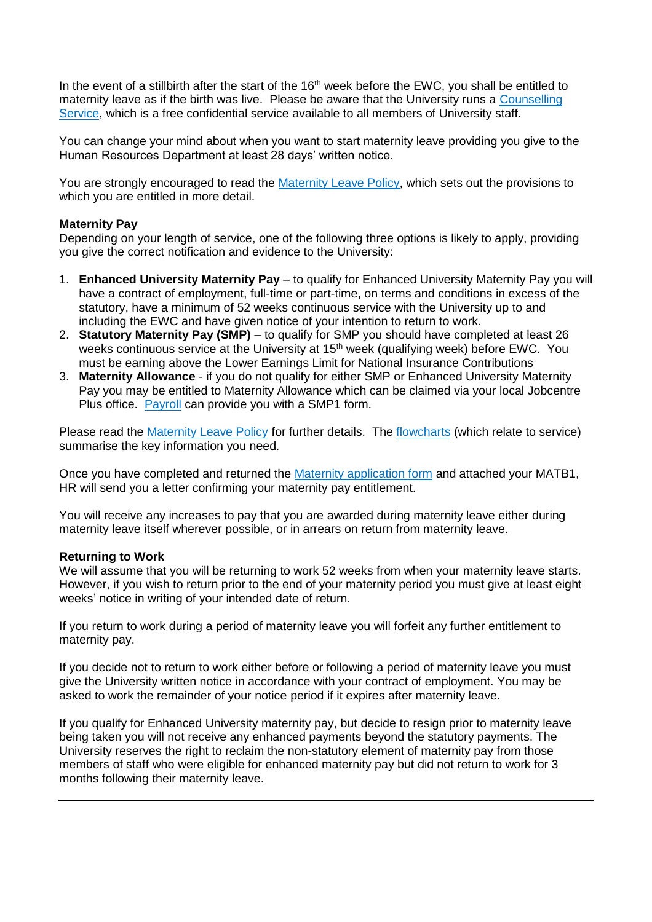In the event of a stillbirth after the start of the 16<sup>th</sup> week before the EWC, you shall be entitled to maternity leave as if the birth was live. Please be aware that the University runs a [Counselling](http://www.nottingham.ac.uk/counselling)  [Service,](http://www.nottingham.ac.uk/counselling) which is a free confidential service available to all members of University staff.

You can change your mind about when you want to start maternity leave providing you give to the Human Resources Department at least 28 days' written notice.

You are strongly encouraged to read the [Maternity Leave Policy,](http://www.nottingham.ac.uk/hr/guidesandsupport/maternityparentalsupportandadoption/maternity/documents/maternityleavepolicy.pdf) which sets out the provisions to which you are entitled in more detail.

# **Maternity Pay**

Depending on your length of service, one of the following three options is likely to apply, providing you give the correct notification and evidence to the University:

- 1. **Enhanced University Maternity Pay** to qualify for Enhanced University Maternity Pay you will have a contract of employment, full-time or part-time, on terms and conditions in excess of the statutory, have a minimum of 52 weeks continuous service with the University up to and including the EWC and have given notice of your intention to return to work.
- 2. **Statutory Maternity Pay (SMP)** to qualify for SMP you should have completed at least 26 weeks continuous service at the University at 15<sup>th</sup> week (qualifying week) before EWC. You must be earning above the Lower Earnings Limit for National Insurance Contributions
- 3. **Maternity Allowance**  if you do not qualify for either SMP or Enhanced University Maternity Pay you may be entitled to Maternity Allowance which can be claimed via your local Jobcentre Plus office. [Payroll](http://www.nottingham.ac.uk/finance/meettheteam/payroll) can provide you with a SMP1 form.

Please read the [Maternity Leave Policy](http://www.nottingham.ac.uk/hr/guidesandsupport/maternityparentalsupportandadoption/maternity/documents/maternityleavepolicy.pdf) for further details. The [flowcharts](http://www.nottingham.ac.uk/hr/guidesandsupport/maternityparentalsupportandadoption/maternity/documents/maternityflowcharts.pdf) (which relate to service) summarise the key information you need.

Once you have completed and returned the [Maternity application form](http://www.nottingham.ac.uk/hr/guidesandsupport/maternityparentalsupportandadoption/applicationforms.aspx) and attached your MATB1, HR will send you a letter confirming your maternity pay entitlement.

You will receive any increases to pay that you are awarded during maternity leave either during maternity leave itself wherever possible, or in arrears on return from maternity leave.

#### **Returning to Work**

We will assume that you will be returning to work 52 weeks from when your maternity leave starts. However, if you wish to return prior to the end of your maternity period you must give at least eight weeks' notice in writing of your intended date of return.

If you return to work during a period of maternity leave you will forfeit any further entitlement to maternity pay.

If you decide not to return to work either before or following a period of maternity leave you must give the University written notice in accordance with your contract of employment. You may be asked to work the remainder of your notice period if it expires after maternity leave.

If you qualify for Enhanced University maternity pay, but decide to resign prior to maternity leave being taken you will not receive any enhanced payments beyond the statutory payments. The University reserves the right to reclaim the non-statutory element of maternity pay from those members of staff who were eligible for enhanced maternity pay but did not return to work for 3 months following their maternity leave.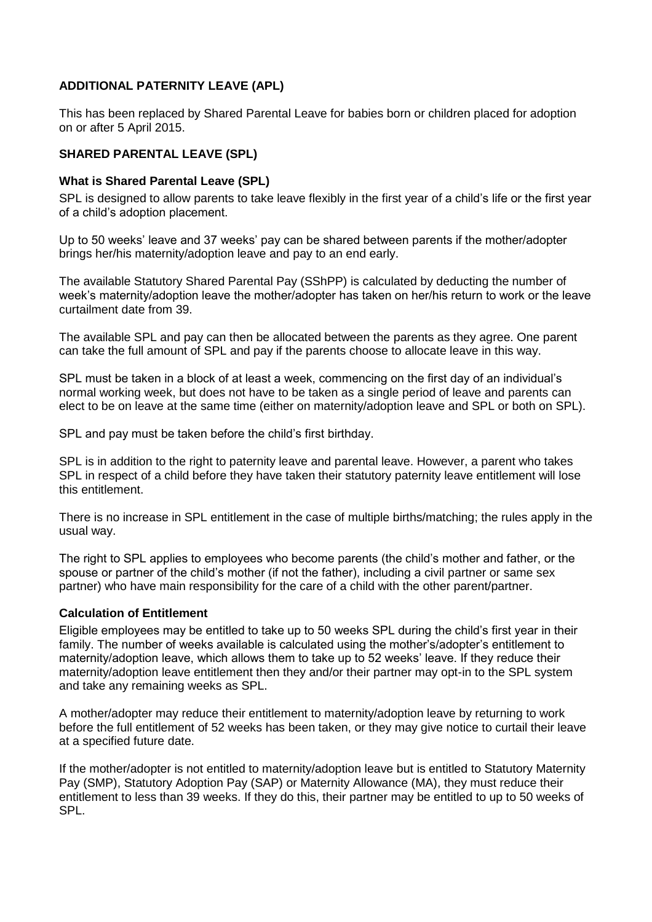# **ADDITIONAL PATERNITY LEAVE (APL)**

This has been replaced by Shared Parental Leave for babies born or children placed for adoption on or after 5 April 2015.

# **SHARED PARENTAL LEAVE (SPL)**

# **What is Shared Parental Leave (SPL)**

SPL is designed to allow parents to take leave flexibly in the first year of a child's life or the first year of a child's adoption placement.

Up to 50 weeks' leave and 37 weeks' pay can be shared between parents if the mother/adopter brings her/his maternity/adoption leave and pay to an end early.

The available Statutory Shared Parental Pay (SShPP) is calculated by deducting the number of week's maternity/adoption leave the mother/adopter has taken on her/his return to work or the leave curtailment date from 39.

The available SPL and pay can then be allocated between the parents as they agree. One parent can take the full amount of SPL and pay if the parents choose to allocate leave in this way.

SPL must be taken in a block of at least a week, commencing on the first day of an individual's normal working week, but does not have to be taken as a single period of leave and parents can elect to be on leave at the same time (either on maternity/adoption leave and SPL or both on SPL).

SPL and pay must be taken before the child's first birthday.

SPL is in addition to the right to paternity leave and parental leave. However, a parent who takes SPL in respect of a child before they have taken their statutory paternity leave entitlement will lose this entitlement.

There is no increase in SPL entitlement in the case of multiple births/matching; the rules apply in the usual way.

The right to SPL applies to employees who become parents (the child's mother and father, or the spouse or partner of the child's mother (if not the father), including a civil partner or same sex partner) who have main responsibility for the care of a child with the other parent/partner.

# **Calculation of Entitlement**

Eligible employees may be entitled to take up to 50 weeks SPL during the child's first year in their family. The number of weeks available is calculated using the mother's/adopter's entitlement to maternity/adoption leave, which allows them to take up to 52 weeks' leave. If they reduce their maternity/adoption leave entitlement then they and/or their partner may opt-in to the SPL system and take any remaining weeks as SPL.

A mother/adopter may reduce their entitlement to maternity/adoption leave by returning to work before the full entitlement of 52 weeks has been taken, or they may give notice to curtail their leave at a specified future date.

If the mother/adopter is not entitled to maternity/adoption leave but is entitled to Statutory Maternity Pay (SMP), Statutory Adoption Pay (SAP) or Maternity Allowance (MA), they must reduce their entitlement to less than 39 weeks. If they do this, their partner may be entitled to up to 50 weeks of SPL.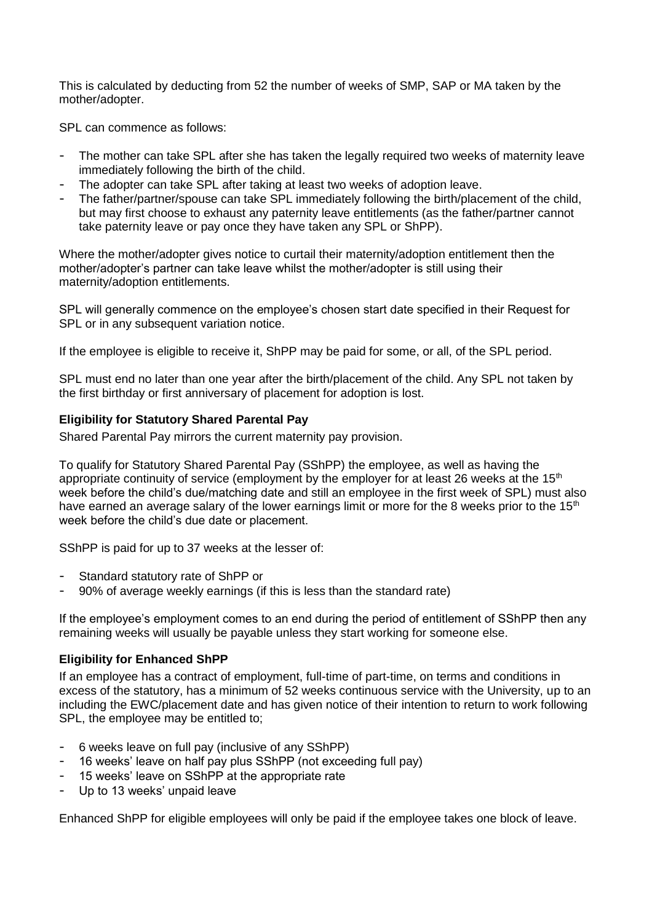This is calculated by deducting from 52 the number of weeks of SMP, SAP or MA taken by the mother/adopter.

SPL can commence as follows:

- The mother can take SPL after she has taken the legally required two weeks of maternity leave immediately following the birth of the child.
- The adopter can take SPL after taking at least two weeks of adoption leave.
- The father/partner/spouse can take SPL immediately following the birth/placement of the child, but may first choose to exhaust any paternity leave entitlements (as the father/partner cannot take paternity leave or pay once they have taken any SPL or ShPP).

Where the mother/adopter gives notice to curtail their maternity/adoption entitlement then the mother/adopter's partner can take leave whilst the mother/adopter is still using their maternity/adoption entitlements.

SPL will generally commence on the employee's chosen start date specified in their Request for SPL or in any subsequent variation notice.

If the employee is eligible to receive it, ShPP may be paid for some, or all, of the SPL period.

SPL must end no later than one year after the birth/placement of the child. Any SPL not taken by the first birthday or first anniversary of placement for adoption is lost.

### **Eligibility for Statutory Shared Parental Pay**

Shared Parental Pay mirrors the current maternity pay provision.

To qualify for Statutory Shared Parental Pay (SShPP) the employee, as well as having the appropriate continuity of service (employment by the employer for at least 26 weeks at the  $15<sup>th</sup>$ week before the child's due/matching date and still an employee in the first week of SPL) must also have earned an average salary of the lower earnings limit or more for the 8 weeks prior to the 15<sup>th</sup> week before the child's due date or placement.

SShPP is paid for up to 37 weeks at the lesser of:

- Standard statutory rate of ShPP or
- 90% of average weekly earnings (if this is less than the standard rate)

If the employee's employment comes to an end during the period of entitlement of SShPP then any remaining weeks will usually be payable unless they start working for someone else.

# **Eligibility for Enhanced ShPP**

If an employee has a contract of employment, full-time of part-time, on terms and conditions in excess of the statutory, has a minimum of 52 weeks continuous service with the University, up to an including the EWC/placement date and has given notice of their intention to return to work following SPL, the employee may be entitled to;

- 6 weeks leave on full pay (inclusive of any SShPP)
- 16 weeks' leave on half pay plus SShPP (not exceeding full pay)
- 15 weeks' leave on SShPP at the appropriate rate
- Up to 13 weeks' unpaid leave

Enhanced ShPP for eligible employees will only be paid if the employee takes one block of leave.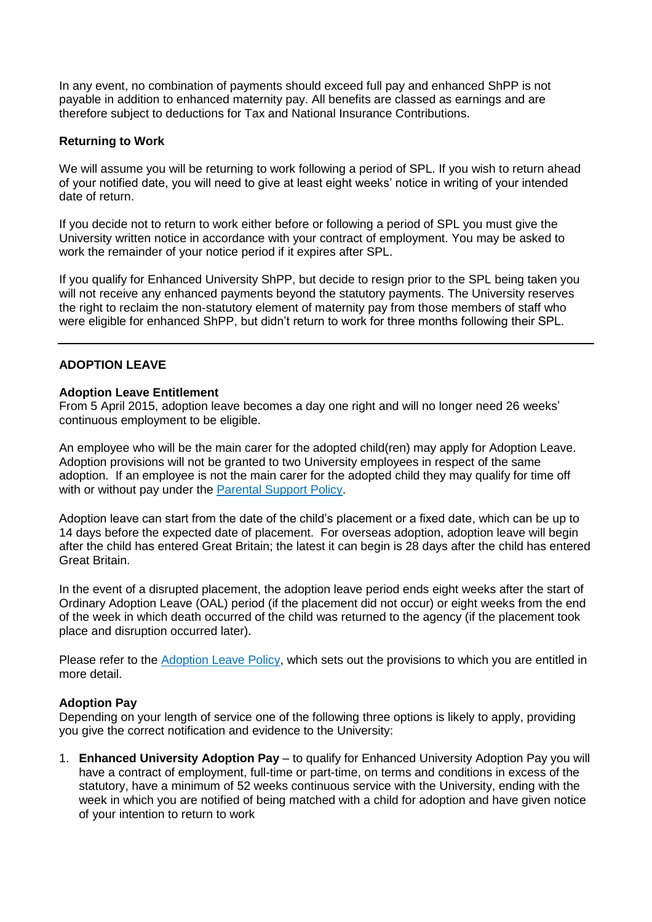In any event, no combination of payments should exceed full pay and enhanced ShPP is not payable in addition to enhanced maternity pay. All benefits are classed as earnings and are therefore subject to deductions for Tax and National Insurance Contributions.

# **Returning to Work**

We will assume you will be returning to work following a period of SPL. If you wish to return ahead of your notified date, you will need to give at least eight weeks' notice in writing of your intended date of return.

If you decide not to return to work either before or following a period of SPL you must give the University written notice in accordance with your contract of employment. You may be asked to work the remainder of your notice period if it expires after SPL.

If you qualify for Enhanced University ShPP, but decide to resign prior to the SPL being taken you will not receive any enhanced payments beyond the statutory payments. The University reserves the right to reclaim the non-statutory element of maternity pay from those members of staff who were eligible for enhanced ShPP, but didn't return to work for three months following their SPL.

# **ADOPTION LEAVE**

### **Adoption Leave Entitlement**

From 5 April 2015, adoption leave becomes a day one right and will no longer need 26 weeks' continuous employment to be eligible.

An employee who will be the main carer for the adopted child(ren) may apply for Adoption Leave. Adoption provisions will not be granted to two University employees in respect of the same adoption. If an employee is not the main carer for the adopted child they may qualify for time off with or without pay under the [Parental Support Policy.](http://www.nottingham.ac.uk/hr/guidesandsupport/maternityparentalsupportandadoption/parental/documents/parentalsupportpolicy(includingaplopl).pdf)

Adoption leave can start from the date of the child's placement or a fixed date, which can be up to 14 days before the expected date of placement. For overseas adoption, adoption leave will begin after the child has entered Great Britain; the latest it can begin is 28 days after the child has entered Great Britain.

In the event of a disrupted placement, the adoption leave period ends eight weeks after the start of Ordinary Adoption Leave (OAL) period (if the placement did not occur) or eight weeks from the end of the week in which death occurred of the child was returned to the agency (if the placement took place and disruption occurred later).

Please refer to the [Adoption Leave Policy,](http://www.nottingham.ac.uk/hr/guidesandsupport/maternityparentalsupportandadoption/adoption/documents/adoptionleavepolicy.pdf) which sets out the provisions to which you are entitled in more detail.

# **Adoption Pay**

Depending on your length of service one of the following three options is likely to apply, providing you give the correct notification and evidence to the University:

1. **Enhanced University Adoption Pay** – to qualify for Enhanced University Adoption Pay you will have a contract of employment, full-time or part-time, on terms and conditions in excess of the statutory, have a minimum of 52 weeks continuous service with the University, ending with the week in which you are notified of being matched with a child for adoption and have given notice of your intention to return to work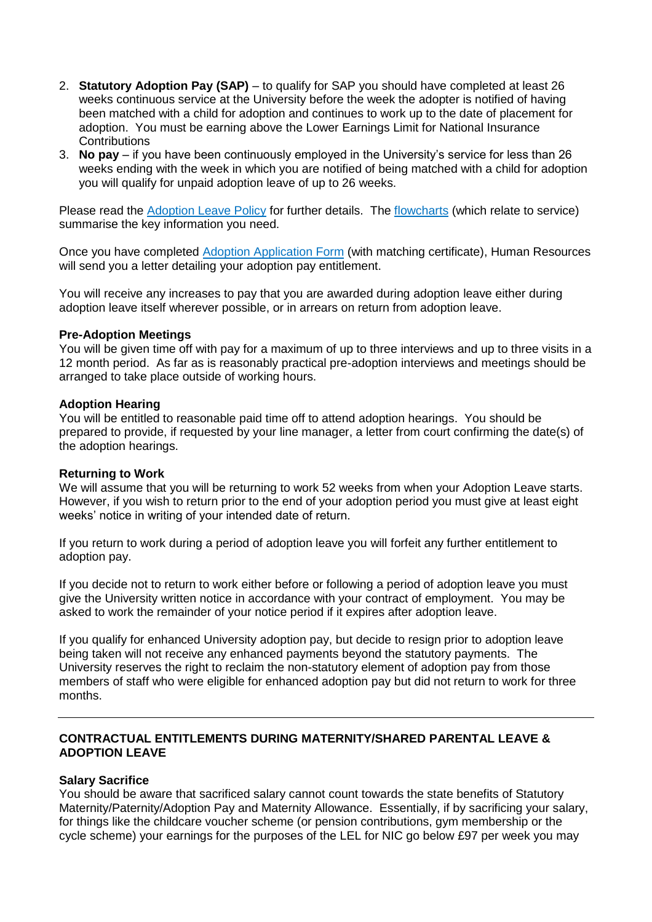- 2. **Statutory Adoption Pay (SAP)** to qualify for SAP you should have completed at least 26 weeks continuous service at the University before the week the adopter is notified of having been matched with a child for adoption and continues to work up to the date of placement for adoption. You must be earning above the Lower Earnings Limit for National Insurance **Contributions**
- 3. **No pay**  if you have been continuously employed in the University's service for less than 26 weeks ending with the week in which you are notified of being matched with a child for adoption you will qualify for unpaid adoption leave of up to 26 weeks.

Please read the [Adoption Leave Policy](http://www.nottingham.ac.uk/hr/guidesandsupport/maternityparentalsupportandadoption/adoption/documents/adoptionleavepolicy.pdf) for further details. The [flowcharts](http://www.nottingham.ac.uk/hr/guidesandsupport/maternityparentalsupportandadoption/adoption/documents/adoptionflowcharts.pdf) (which relate to service) summarise the key information you need.

Once you have completed [Adoption Application Form](http://www.nottingham.ac.uk/hr/guidesandsupport/maternityparentalsupportandadoption/applicationforms.aspx) (with matching certificate), Human Resources will send you a letter detailing your adoption pay entitlement.

You will receive any increases to pay that you are awarded during adoption leave either during adoption leave itself wherever possible, or in arrears on return from adoption leave.

#### **Pre-Adoption Meetings**

You will be given time off with pay for a maximum of up to three interviews and up to three visits in a 12 month period. As far as is reasonably practical pre-adoption interviews and meetings should be arranged to take place outside of working hours.

### **Adoption Hearing**

You will be entitled to reasonable paid time off to attend adoption hearings. You should be prepared to provide, if requested by your line manager, a letter from court confirming the date(s) of the adoption hearings.

#### **Returning to Work**

We will assume that you will be returning to work 52 weeks from when your Adoption Leave starts. However, if you wish to return prior to the end of your adoption period you must give at least eight weeks' notice in writing of your intended date of return.

If you return to work during a period of adoption leave you will forfeit any further entitlement to adoption pay.

If you decide not to return to work either before or following a period of adoption leave you must give the University written notice in accordance with your contract of employment. You may be asked to work the remainder of your notice period if it expires after adoption leave.

If you qualify for enhanced University adoption pay, but decide to resign prior to adoption leave being taken will not receive any enhanced payments beyond the statutory payments. The University reserves the right to reclaim the non-statutory element of adoption pay from those members of staff who were eligible for enhanced adoption pay but did not return to work for three months.

# **CONTRACTUAL ENTITLEMENTS DURING MATERNITY/SHARED PARENTAL LEAVE & ADOPTION LEAVE**

# **Salary Sacrifice**

You should be aware that sacrificed salary cannot count towards the state benefits of Statutory Maternity/Paternity/Adoption Pay and Maternity Allowance. Essentially, if by sacrificing your salary, for things like the childcare voucher scheme (or pension contributions, gym membership or the cycle scheme) your earnings for the purposes of the LEL for NIC go below £97 per week you may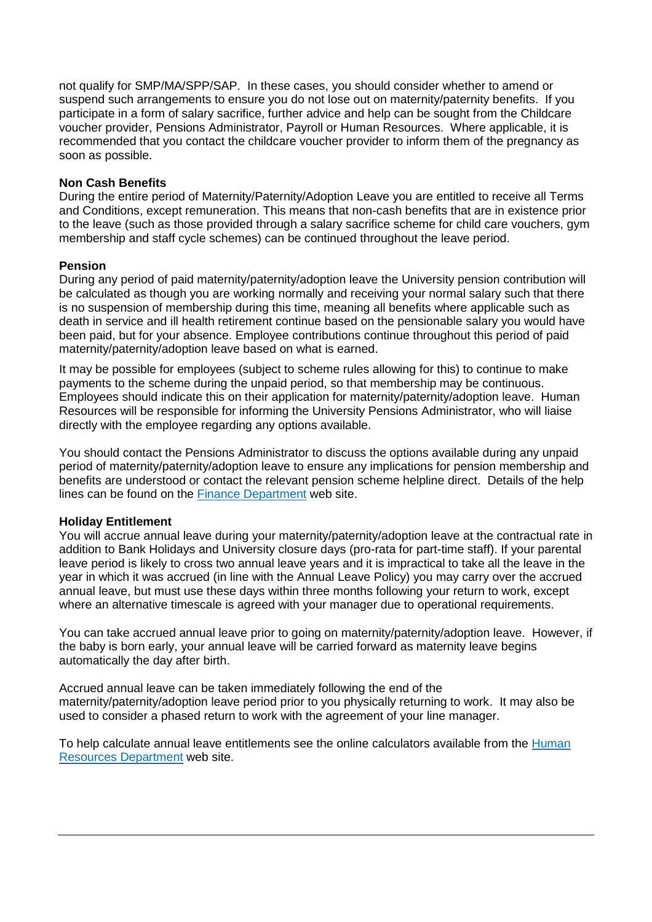not qualify for SMP/MA/SPP/SAP. In these cases, you should consider whether to amend or suspend such arrangements to ensure you do not lose out on maternity/paternity benefits. If you participate in a form of salary sacrifice, further advice and help can be sought from the Childcare voucher provider, Pensions Administrator, Payroll or Human Resources. Where applicable, it is recommended that you contact the childcare voucher provider to inform them of the pregnancy as soon as possible.

# **Non Cash Benefits**

During the entire period of Maternity/Paternity/Adoption Leave you are entitled to receive all Terms and Conditions, except remuneration. This means that non-cash benefits that are in existence prior to the leave (such as those provided through a salary sacrifice scheme for child care vouchers, gym membership and staff cycle schemes) can be continued throughout the leave period.

### **Pension**

During any period of paid maternity/paternity/adoption leave the University pension contribution will be calculated as though you are working normally and receiving your normal salary such that there is no suspension of membership during this time, meaning all benefits where applicable such as death in service and ill health retirement continue based on the pensionable salary you would have been paid, but for your absence. Employee contributions continue throughout this period of paid maternity/paternity/adoption leave based on what is earned.

It may be possible for employees (subject to scheme rules allowing for this) to continue to make payments to the scheme during the unpaid period, so that membership may be continuous. Employees should indicate this on their application for maternity/paternity/adoption leave. Human Resources will be responsible for informing the University Pensions Administrator, who will liaise directly with the employee regarding any options available.

You should contact the Pensions Administrator to discuss the options available during any unpaid period of maternity/paternity/adoption leave to ensure any implications for pension membership and benefits are understood or contact the relevant pension scheme helpline direct. Details of the help lines can be found on the [Finance Department](http://www.nottingham.ac.uk/finance/index.aspx) web site.

# **Holiday Entitlement**

You will accrue annual leave during your maternity/paternity/adoption leave at the contractual rate in addition to Bank Holidays and University closure days (pro-rata for part-time staff). If your parental leave period is likely to cross two annual leave years and it is impractical to take all the leave in the year in which it was accrued (in line with the Annual Leave Policy) you may carry over the accrued annual leave, but must use these days within three months following your return to work, except where an alternative timescale is agreed with your manager due to operational requirements.

You can take accrued annual leave prior to going on maternity/paternity/adoption leave. However, if the baby is born early, your annual leave will be carried forward as maternity leave begins automatically the day after birth.

Accrued annual leave can be taken immediately following the end of the maternity/paternity/adoption leave period prior to you physically returning to work. It may also be used to consider a phased return to work with the agreement of your line manager.

To help calculate annual leave entitlements see the online calculators available from the [Human](http://www.nottingham.ac.uk/hr)  [Resources Department](http://www.nottingham.ac.uk/hr) web site.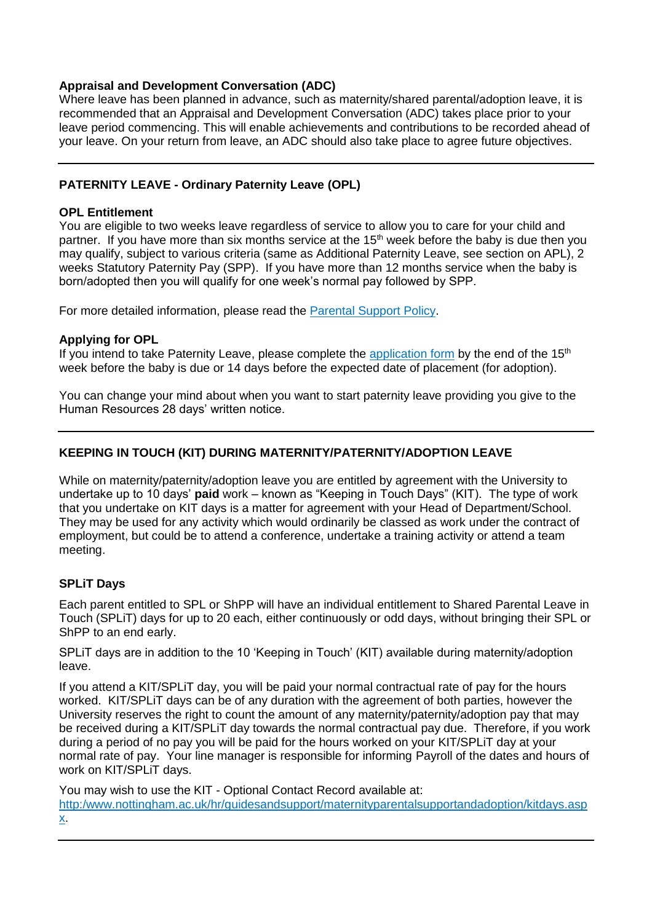# **Appraisal and Development Conversation (ADC)**

Where leave has been planned in advance, such as maternity/shared parental/adoption leave, it is recommended that an Appraisal and Development Conversation (ADC) takes place prior to your leave period commencing. This will enable achievements and contributions to be recorded ahead of your leave. On your return from leave, an ADC should also take place to agree future objectives.

# **PATERNITY LEAVE - Ordinary Paternity Leave (OPL)**

# **OPL Entitlement**

You are eligible to two weeks leave regardless of service to allow you to care for your child and partner. If you have more than six months service at the 15<sup>th</sup> week before the baby is due then you may qualify, subject to various criteria (same as Additional Paternity Leave, see section on APL), 2 weeks Statutory Paternity Pay (SPP). If you have more than 12 months service when the baby is born/adopted then you will qualify for one week's normal pay followed by SPP.

For more detailed information, please read the [Parental Support Policy.](http://www.nottingham.ac.uk/hr/guidesandsupport/maternityparentalsupportandadoption/parental/index.aspx)

# **Applying for OPL**

If you intend to take Paternity Leave, please complete the [application form](http://www.nottingham.ac.uk/hr/guidesandsupport/maternityparentalsupportandadoption/applicationforms.aspx) by the end of the  $15<sup>th</sup>$ week before the baby is due or 14 days before the expected date of placement (for adoption).

You can change your mind about when you want to start paternity leave providing you give to the Human Resources 28 days' written notice.

# **KEEPING IN TOUCH (KIT) DURING MATERNITY/PATERNITY/ADOPTION LEAVE**

While on maternity/paternity/adoption leave you are entitled by agreement with the University to undertake up to 10 days' **paid** work – known as "Keeping in Touch Days" (KIT).The type of work that you undertake on KIT days is a matter for agreement with your Head of Department/School. They may be used for any activity which would ordinarily be classed as work under the contract of employment, but could be to attend a conference, undertake a training activity or attend a team meeting.

# **SPLiT Days**

Each parent entitled to SPL or ShPP will have an individual entitlement to Shared Parental Leave in Touch (SPLiT) days for up to 20 each, either continuously or odd days, without bringing their SPL or ShPP to an end early.

SPLiT days are in addition to the 10 'Keeping in Touch' (KIT) available during maternity/adoption leave.

If you attend a KIT/SPLiT day, you will be paid your normal contractual rate of pay for the hours worked. KIT/SPLiT days can be of any duration with the agreement of both parties, however the University reserves the right to count the amount of any maternity/paternity/adoption pay that may be received during a KIT/SPLiT day towards the normal contractual pay due. Therefore, if you work during a period of no pay you will be paid for the hours worked on your KIT/SPLiT day at your normal rate of pay. Your line manager is responsible for informing Payroll of the dates and hours of work on KIT/SPLiT days.

You may wish to use the KIT - Optional Contact Record available at: [http:/www.nottingham.ac.uk/hr/guidesandsupport/maternityparentalsupportandadoption/kitdays.asp](http://www.nottingham.ac.uk/hr/guidesandsupport/maternityparentalsupportandadoption/keepingintouchdays.aspx) [x.](http://www.nottingham.ac.uk/hr/guidesandsupport/maternityparentalsupportandadoption/keepingintouchdays.aspx)